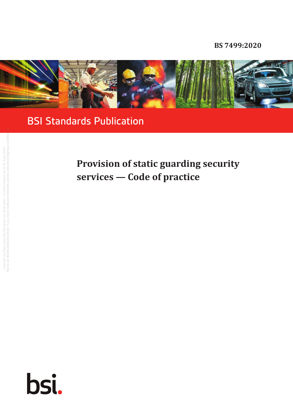**BS 7499:2020**



# BSI Standards Publication

# **Provision of static guarding security services — Code of practice**

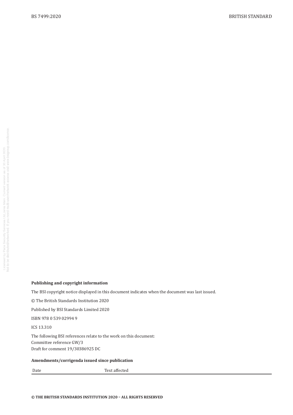## **Publishing and copyright information**

The BSI copyright notice displayed in this document indicates when the document was last issued.

© The British Standards Institution 2020

Published by BSI Standards Limited 2020

ISBN 978 0 539 02994 9

ICS 13.310

The following BSI references relate to the work on this document: Committee reference GW/3 Draft for comment 19/30386925 DC

#### **Amendments/corrigenda issued since publication**

Date Text affected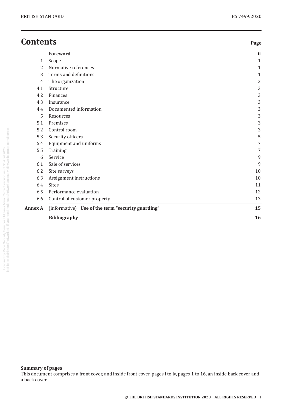| <b>Contents</b> |                                                   |              |
|-----------------|---------------------------------------------------|--------------|
|                 | Foreword                                          | ii           |
| $\mathbf{1}$    | Scope                                             | $\mathbf{1}$ |
| $\overline{2}$  | Normative references                              | 1            |
| 3               | Terms and definitions                             | $\mathbf{1}$ |
| $\overline{4}$  | The organization                                  | 3            |
| 4.1             | Structure                                         | 3            |
| 4.2             | Finances                                          | 3            |
| 4.3             | Insurance                                         | 3            |
| 4.4             | Documented information                            | 3            |
| 5               | Resources                                         | 3            |
| 5.1             | Premises                                          | 3            |
| 5.2             | Control room                                      | 3            |
| 5.3             | Security officers                                 | 5            |
| 5.4             | Equipment and uniforms                            | 7            |
| 5.5             | Training                                          | 7            |
| 6               | Service                                           | 9            |
| 6.1             | Sale of services                                  | 9            |
| 6.2             | Site surveys                                      | 10           |
| 6.3             | Assignment instructions                           | 10           |
| 6.4             | <b>Sites</b>                                      | 11           |
| 6.5             | Performance evaluation                            | 12           |
| 6.6             | Control of customer property                      | 13           |
| <b>Annex A</b>  | (informative) Use of the term "security guarding" | 15           |
|                 | <b>Bibliography</b>                               | 16           |
|                 |                                                   |              |

This document comprises a front cover, and inside front cover, pages i to iv, pages 1 to 16, an inside back cover and a back cover.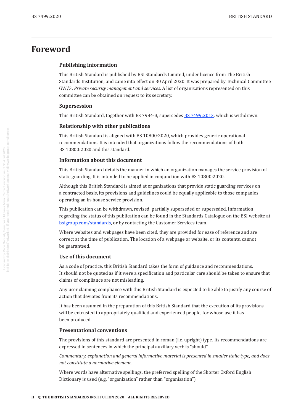## <span id="page-3-0"></span>**Foreword**

## **Publishing information**

This British Standard is published by BSI Standards Limited, under licence from The British Standards Institution, and came into effect on 30 April 2020. It was prepared by Technical Committee GW/3, *Private security management and services*. A list of organizations represented on this committee can be obtained on request to its secretary.

#### **Supersession**

This British Standard, together with BS 7984-3, supersedes **BS 7499:2013**, which is withdrawn.

#### **Relationship with other publications**

This British Standard is aligned with BS 10800:2020, which provides generic operational recommendations. It is intended that organizations follow the recommendations of both BS 10800:2020 and this standard.

#### **Information about this document**

This British Standard details the manner in which an organization manages the service provision of static guarding. It is intended to be applied in conjunction with BS 10800:2020.

Although this British Standard is aimed at organizations that provide static guarding services on a contracted basis, its provisions and guidelines could be equally applicable to those companies operating an in-house service provision.

This publication can be withdrawn, revised, partially superseded or superseded. Information regarding the status of this publication can be found in the Standards Catalogue on the BSI website at [bsigroup.com/standards,](http://http://bsigroup.com/standards) or by contacting the Customer Services team.

Where websites and webpages have been cited, they are provided for ease of reference and are correct at the time of publication. The location of a webpage or website, or its contents, cannot be guaranteed.

#### **Use of this document**

As a code of practice, this British Standard takes the form of guidance and recommendations. It should not be quoted as if it were a specification and particular care should be taken to ensure that claims of compliance are not misleading.

Any user claiming compliance with this British Standard is expected to be able to justify any course of action that deviates from its recommendations.

It has been assumed in the preparation of this British Standard that the execution of its provisions will be entrusted to appropriately qualified and experienced people, for whose use it has been produced.

#### **Presentational conventions**

The provisions of this standard are presented in roman (i.e. upright) type. Its recommendations are expressed in sentences in which the principal auxiliary verb is "should".

*Commentary, explanation and general informative material is presented in smaller italic type, and does not constitute a normative element.*

Where words have alternative spellings, the preferred spelling of the Shorter Oxford English Dictionary is used (e.g. "organization" rather than "organisation").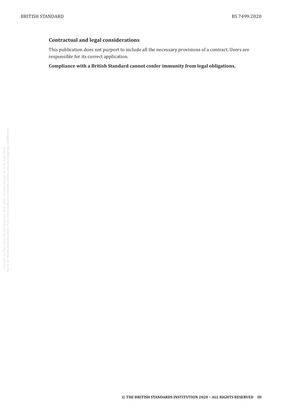#### **Contractual and legal considerations**

This publication does not purport to include all the necessary provisions of a contract. Users are responsible for its correct application.

**Compliance with a British Standard cannot confer immunity from legal obligations.**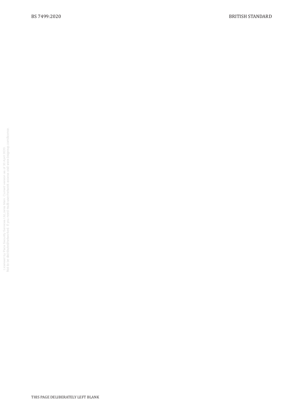THIS PAGE DELIBERATELY LEFT BLANK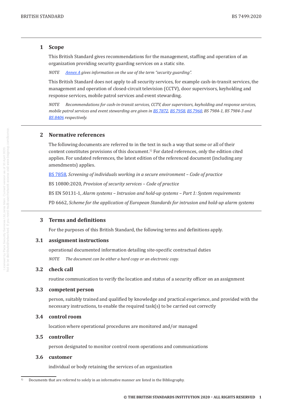## <span id="page-6-0"></span>**1 Scope**

This British Standard gives recommendations for the management, staffing and operation of an organization providing security guarding services on a static site.

*NOTE [Annex A](#page-20-0) gives information on the use of the term "security guarding".*

This British Standard does not apply to all security services, for example cash-in-transit services, the management and operation of closed-circuit television (CCTV), door supervisors, keyholding and response services, mobile patrol services and event stewarding.

*NOTE Recommendations for cash-in-transit services, CCTV, door supervisors, keyholding and response services, mobile patrol services and event stewarding are given in BS [7872,](https://doi.org/10.3403/02081761U) BS [7958](https://doi.org/10.3403/01939094U), BS [7960,](https://doi.org/10.3403/01939082U) BS 7984-1, BS 7984-3 and BS [8406](https://doi.org/10.3403/02912651U) respectively.*

## <span id="page-6-1"></span>**2 Normative references**

The following documents are referred to in the text in such a way that some or all of their content constitutes provisions of this document.1) For dated references, only the edition cited applies. For undated references, the latest edition of the referenced document (including any amendments) applies.

BS [7858,](https://doi.org/10.3403/00778573U) *Screening of individuals working in a secure environment – Code of practice*

BS 10800:2020, *Provision of security services – Code of practice*

BS EN 50131‑1, *Alarm systems – Intrusion and hold-up systems – Part 1: System requirements*

PD 6662, *Scheme for the application of European Standards for intrusion and hold-up alarm systems*

## <span id="page-6-2"></span>**3 Terms and definitions**

For the purposes of this British Standard, the following terms and definitions apply.

#### **3.1 assignment instructions**

operational documented information detailing site-specific contractual duties

*NOTE The document can be either a hard copy or an electronic copy.*

#### **3.2 check call**

routine communication to verify the location and status of a security officer on an assignment

#### **3.3 competent person**

person, suitably trained and qualified by knowledge and practical experience, and provided with the necessary instructions, to enable the required task(s) to be carried out correctly

#### **3.4 control room**

location where operational procedures are monitored and/or managed

#### **3.5 controller**

person designated to monitor control room operations and communications

### **3.6 customer**

individual or body retaining the services of an organization

 $1)$  Documents that are referred to solely in an informative manner are listed in the Bibliography.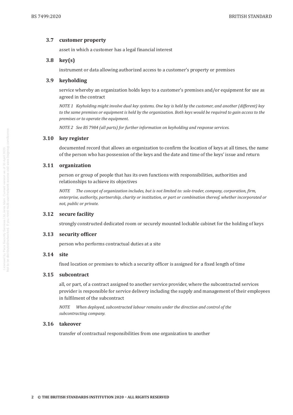#### **3.7 customer property**

asset in which a customer has a legal financial interest

## **3.8 key(s)**

instrument or data allowing authorized access to a customer's property or premises

#### **3.9 keyholding**

service whereby an organization holds keys to a customer's premises and/or equipment for use as agreed in the contract

*NOTE 1 Keyholding might involve dual key systems. One key is held by the customer, and another (different) key*  to the same premises or equipment is held by the organization. Both keys would be required to gain access to the *premises or to operate the equipment.*

*NOTE 2 See BS 7984 (all parts) for further information on keyholding and response services.*

#### **3.10 key register**

documented record that allows an organization to confirm the location of keys at all times, the name of the person who has possession of the keys and the date and time of the keys' issue and return

#### **3.11 organization**

person or group of people that has its own functions with responsibilities, authorities and relationships to achieve its objectives

*NOTE The concept of organization includes, but is not limited to: sole-trader, company, corporation, firm, enterprise, authority, partnership, charity or institution, or part or combination thereof, whether incorporated or not, public or private.*

#### **3.12 secure facility**

strongly constructed dedicated room or securely mounted lockable cabinet for the holding of keys

### **3.13 security officer**

person who performs contractual duties at a site

## **3.14 site**

fixed location or premises to which a security officer is assigned for a fixed length of time

## **3.15 subcontract**

all, or part, of a contract assigned to another service provider, where the subcontracted services provider is responsible for service delivery including the supply and management of their employees in fulfilment of the subcontract

*NOTE When deployed, subcontracted labour remains under the direction and control of the subcontracting company.*

#### **3.16 takeover**

transfer of contractual responsibilities from one organization to another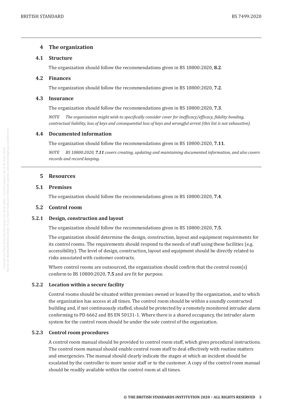## <span id="page-8-0"></span>**4 The organization**

#### <span id="page-8-1"></span>**4.1 Structure**

The organization should follow the recommendations given in BS 10800:2020, **8.2**.

### <span id="page-8-2"></span>**4.2 Finances**

The organization should follow the recommendations given in BS 10800:2020, **7.2**.

#### <span id="page-8-3"></span>**4.3 Insurance**

The organization should follow the recommendations given in BS 10800:2020, **7.3**.

*NOTE The organization might wish to specifically consider cover for inefficacy/efficacy, fidelity bonding, contractual liability, loss of keys and consequential loss of keys and wrongful arrest (this list is not exhaustive).*

#### <span id="page-8-4"></span>**4.4 Documented information**

The organization should follow the recommendations given in BS 10800:2020, **7.11**.

*NOTE BS 10800:2020, 7.11 covers creating, updating and maintaining documented information, and also covers records and record keeping.*

## <span id="page-8-5"></span>**5 Resources**

#### <span id="page-8-6"></span>**5.1 Premises**

The organization should follow the recommendations given in BS 10800:2020, **7.4**.

#### <span id="page-8-7"></span>**5.2 Control room**

#### **5.2.1 Design, construction and layout**

The organization should follow the recommendations given in BS 10800:2020, **7.5**.

The organization should determine the design, construction, layout and equipment requirements for its control rooms. The requirements should respond to the needs of staff using these facilities (e.g. accessibility). The level of design, construction, layout and equipment should be directly related to risks associated with customer contracts.

Where control rooms are outsourced, the organization should confirm that the control room(s) conform to BS 10800:2020, **7.5** and are fit for purpose.

#### **5.2.2 Location within a secure facility**

Control rooms should be situated within premises owned or leased by the organization, and to which the organization has access at all times. The control room should be within a soundly constructed building and, if not continuously staffed, should be protected by a remotely monitored intruder alarm conforming to PD 6662 and BS EN 50131-1. Where there is a shared occupancy, the intruder alarm system for the control room should be under the sole control of the organization.

#### **5.2.3 Control room procedures**

A control room manual should be provided to control room staff, which gives procedural instructions. The control room manual should enable control room staff to deal effectively with routine matters and emergencies. The manual should clearly indicate the stages at which an incident should be escalated by the controller to more senior staff or to the customer. A copy of the control room manual should be readily available within the control room at all times.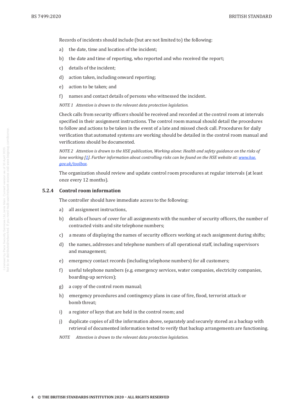Records of incidents should include (but are not limited to) the following:

- a) the date, time and location of the incident;
- b) the date and time of reporting, who reported and who received the report;
- c) details of the incident;
- d) action taken, including onward reporting;
- e) action to be taken; and
- f) names and contact details of persons who witnessed the incident.

*NOTE 1 Attention is drawn to the relevant data protection legislation.*

Check calls from security officers should be received and recorded at the control room at intervals specified in their assignment instructions. The control room manual should detail the procedures to follow and actions to be taken in the event of a late and missed check call. Procedures for daily verification that automated systems are working should be detailed in the control room manual and verifications should be documented.

*NOTE 2 Attention is drawn to the HSE publication, Working alone: Health and safety guidance on the risks of lone working [\[1](#page-21-1)]. Further information about controlling risks can be found on the HSE website at: [www.hse.](http://www.hse.gov.uk/toolbox) gov[.uk/toolbox](http://www.hse.gov.uk/toolbox).*

The organization should review and update control room procedures at regular intervals (at least once every 12 months).

#### **5.2.4 Control room information**

The controller should have immediate access to the following:

- a) all assignment instructions,
- b) details of hours of cover for all assignments with the number of security officers, the number of contracted visits and site telephone numbers;
- c) a means of displaying the names of security officers working at each assignment during shifts;
- d) the names, addresses and telephone numbers of all operational staff, including supervisors and management;
- e) emergency contact records (including telephone numbers) for all customers;
- f) useful telephone numbers (e.g. emergency services, water companies, electricity companies, boarding-up services);
- g) a copy of the control room manual;
- h) emergency procedures and contingency plans in case of fire, flood, terrorist attack or bomb threat;
- i) a register of keys that are held in the control room; and
- j) duplicate copies of all the information above, separately and securely stored as a backup with retrieval of documented information tested to verify that backup arrangements are functioning.

*NOTE Attention is drawn to the relevant data protection legislation.*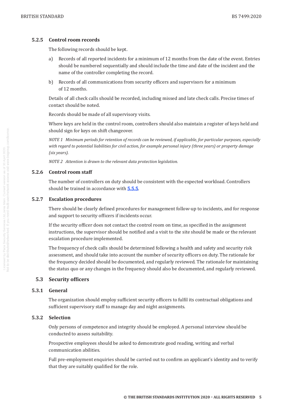#### **5.2.5 Control room records**

The following records should be kept.

- a) Records of all reported incidents for a minimum of 12 months from the date of the event. Entries should be numbered sequentially and should include the time and date of the incident and the name of the controller completing the record.
- b) Records of all communications from security officers and supervisors for a minimum of 12 months.

Details of all check calls should be recorded, including missed and late check calls. Precise times of contact should be noted.

Records should be made of all supervisory visits.

Where keys are held in the control room, controllers should also maintain a register of keys held and should sign for keys on shift changeover.

*NOTE 1 Minimum periods for retention of records can be reviewed, if applicable, for particular purposes, especially with regard to potential liabilities for civil action, for example personal injury (three years) or property damage (six years).*

*NOTE 2 Attention is drawn to the relevant data protection legislation.*

## **5.2.6 Control room staff**

The number of controllers on duty should be consistent with the expected workload. Controllers should be trained in accordance with **[5.5.5](#page-13-0)**.

#### **5.2.7 Escalation procedures**

There should be clearly defined procedures for management follow-up to incidents, and for response and support to security officers if incidents occur.

If the security officer does not contact the control room on time, as specified in the assignment instructions, the supervisor should be notified and a visit to the site should be made or the relevant escalation procedure implemented.

The frequency of check calls should be determined following a health and safety and security risk assessment, and should take into account the number of security officers on duty. The rationale for the frequency decided should be documented, and regularly reviewed. The rationale for maintaining the status quo or any changes in the frequency should also be documented, and regularly reviewed.

#### <span id="page-10-0"></span>**5.3 Security officers**

#### **5.3.1 General**

The organization should employ sufficient security officers to fulfil its contractual obligations and sufficient supervisory staff to manage day and night assignments.

## **5.3.2 Selection**

Only persons of competence and integrity should be employed. A personal interview should be conducted to assess suitability.

Prospective employees should be asked to demonstrate good reading, writing and verbal communication abilities.

Full pre-employment enquiries should be carried out to confirm an applicant's identity and to verify that they are suitably qualified for the role.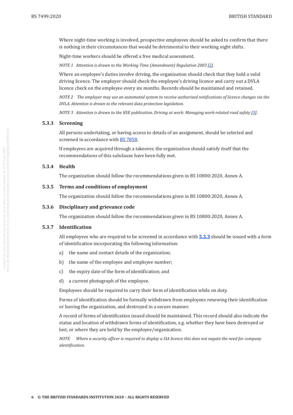Where night-time working is involved, prospective employees should be asked to confirm that there is nothing in their circumstances that would be detrimental to their working night shifts.

Night-time workers should be offered a free medical assessment.

*NOTE 1 Attention is drawn to the Working Time (Amendment) Regulation 2003 [\[2\]](#page-21-2).*

Where an employee's duties involve driving, the organization should check that they hold a valid driving licence. The employer should check the employee's driving licence and carry out a DVLA licence check on the employee every six months. Records should be maintained and retained.

NOTE 2 The employer may use an automated system to receive authorized notifications of licence changes via the *DVLA. Attention is drawn to the relevant data protection legislation.*

*NOTE 3 Attention is drawn to the HSE publication, Driving at work: Managing work-related road safety [[3](#page-21-3)].*

#### <span id="page-11-0"></span>**5.3.3 Screening**

All persons undertaking, or having access to details of an assignment, should be selected and screened in accordance with BS [7858](https://doi.org/10.3403/00778573U).

If employees are acquired through a takeover, the organization should satisfy itself that the recommendations of this subclause have been fully met.

#### **5.3.4 Health**

The organization should follow the recommendations given in BS 10800:2020, Annex A.

#### **5.3.5 Terms and conditions of employment**

The organization should follow the recommendations given in BS 10800:2020, Annex A.

#### **5.3.6 Disciplinary and grievance code**

The organization should follow the recommendations given in BS 10800:2020, Annex A.

#### **5.3.7 Identification**

All employees who are required to be screened in accordance with **[5.3.3](#page-11-0)** should be issued with a form of identification incorporating the following information:

- a) the name and contact details of the organization;
- b) the name of the employee and employee number;
- c) the expiry date of the form of identification; and
- d) a current photograph of the employee.

Employees should be required to carry their form of identification while on duty.

Forms of identification should be formally withdrawn from employees renewing their identification or leaving the organization, and destroyed in a secure manner.

A record of forms of identification issued should be maintained. This record should also indicate the status and location of withdrawn forms of identification, e.g. whether they have been destroyed or lost, or where they are held by the employee/organization.

NOTE Where a security officer is required to display a SIA licence this does not negate the need for company *identification.*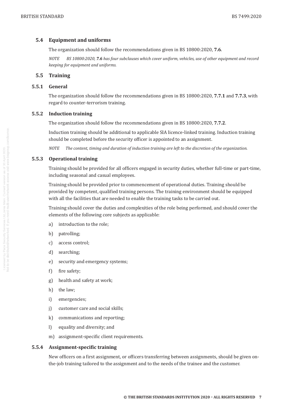#### <span id="page-12-0"></span>**5.4 Equipment and uniforms**

The organization should follow the recommendations given in BS 10800:2020, **7.6**.

*NOTE BS 10800:2020, 7.6 has four subclauses which cover uniform, vehicles, use of other equipment and record keeping for equipment and uniforms.*

#### <span id="page-12-1"></span>**5.5 Training**

#### **5.5.1 General**

The organization should follow the recommendations given in BS 10800:2020, **7.7.1** and **7.7.3**, with regard to counter-terrorism training.

#### <span id="page-12-2"></span>**5.5.2 Induction training**

The organization should follow the recommendations given in BS 10800:2020, **7.7.2**.

Induction training should be additional to applicable SIA licence-linked training. Induction training should be completed before the security officer is appointed to an assignment.

*NOTE The content, timing and duration of induction training are left to the discretion of the organization.*

#### **5.5.3 Operational training**

Training should be provided for all officers engaged in security duties, whether full-time or part-time, including seasonal and casual employees.

Training should be provided prior to commencement of operational duties. Training should be provided by competent, qualified training persons. The training environment should be equipped with all the facilities that are needed to enable the training tasks to be carried out.

Training should cover the duties and complexities of the role being performed, and should cover the elements of the following core subjects as applicable:

- a) introduction to the role;
- b) patrolling;
- c) access control;
- d) searching;
- e) security and emergency systems;
- f) fire safety;
- g) health and safety at work;
- h) the law;
- i) emergencies;
- j) customer care and social skills;
- k) communications and reporting;
- l) equality and diversity; and
- m) assignment-specific client requirements.

#### **5.5.4 Assignment-specific training**

New officers on a first assignment, or officers transferring between assignments, should be given onthe-job training tailored to the assignment and to the needs of the trainee and the customer.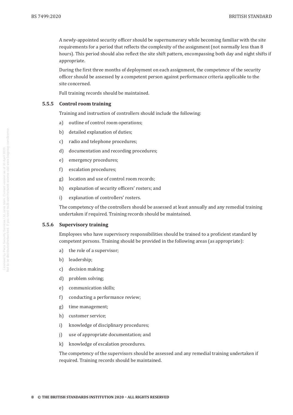A newly-appointed security officer should be supernumerary while becoming familiar with the site requirements for a period that reflects the complexity of the assignment (not normally less than 8 hours). This period should also reflect the site shift pattern, encompassing both day and night shifts if appropriate.

During the first three months of deployment on each assignment, the competence of the security officer should be assessed by a competent person against performance criteria applicable to the site concerned.

Full training records should be maintained.

#### <span id="page-13-0"></span>**5.5.5 Control room training**

Training and instruction of controllers should include the following:

- a) outline of control room operations;
- b) detailed explanation of duties;
- c) radio and telephone procedures;
- d) documentation and recording procedures;
- e) emergency procedures;
- f) escalation procedures;
- g) location and use of control room records;
- h) explanation of security officers' rosters; and
- i) explanation of controllers' rosters.

The competency of the controllers should be assessed at least annually and any remedial training undertaken if required. Training records should be maintained.

#### **5.5.6 Supervisory training**

Employees who have supervisory responsibilities should be trained to a proficient standard by competent persons. Training should be provided in the following areas (as appropriate):

- a) the role of a supervisor;
- b) leadership;
- c) decision making;
- d) problem solving;
- e) communication skills;
- f) conducting a performance review;
- g) time management;
- h) customer service;
- i) knowledge of disciplinary procedures;
- j) use of appropriate documentation; and
- k) knowledge of escalation procedures.

The competency of the supervisors should be assessed and any remedial training undertaken if required. Training records should be maintained.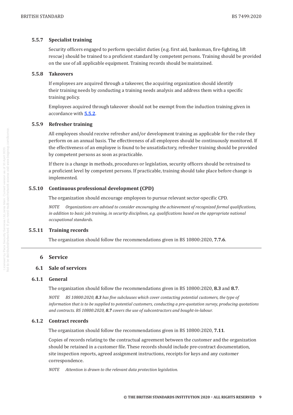#### **5.5.7 Specialist training**

Security officers engaged to perform specialist duties (e.g. first aid, banksman, fire-fighting, lift rescue) should be trained to a proficient standard by competent persons. Training should be provided on the use of all applicable equipment. Training records should be maintained.

#### **5.5.8 Takeovers**

If employees are acquired through a takeover, the acquiring organization should identify their training needs by conducting a training needs analysis and address them with a specific training policy.

Employees acquired through takeover should not be exempt from the induction training given in accordance with **[5.5.2](#page-12-2)**.

#### **5.5.9 Refresher training**

All employees should receive refresher and/or development training as applicable for the role they perform on an annual basis. The effectiveness of all employees should be continuously monitored. If the effectiveness of an employee is found to be unsatisfactory, refresher training should be provided by competent persons as soon as practicable.

If there is a change in methods, procedures or legislation, security officers should be retrained to a proficient level by competent persons. If practicable, training should take place before change is implemented.

#### **5.5.10 Continuous professional development (CPD)**

The organization should encourage employees to pursue relevant sector-specific CPD.

*NOTE Organizations are advised to consider encouraging the achievement of recognized formal qualifications,* in addition to basic job training, in security disciplines, e.g. qualifications based on the appropriate national *occupational standards.*

#### **5.5.11 Training records**

The organization should follow the recommendations given in BS 10800:2020, **7.7.6**.

### <span id="page-14-0"></span>**6 Service**

#### <span id="page-14-1"></span>**6.1 Sale of services**

#### **6.1.1 General**

The organization should follow the recommendations given in BS 10800:2020, **8.3** and **8.7**.

*NOTE BS 10800:2020, 8.3 has five subclauses which cover contacting potential customers, the type of information that is to be supplied to potential customers, conducting a pre-quotation survey, producing quotations and contracts. BS 10800:2020, 8.7 covers the use of subcontractors and bought-in-labour.*

#### **6.1.2 Contract records**

The organization should follow the recommendations given in BS 10800:2020, **7.11**.

Copies of records relating to the contractual agreement between the customer and the organization should be retained in a customer file. These records should include pre‑contract documentation, site inspection reports, agreed assignment instructions, receipts for keys and any customer correspondence.

*NOTE Attention is drawn to the relevant data protection legislation.*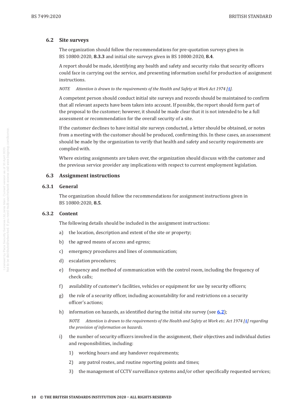#### <span id="page-15-0"></span>**6.2 Site surveys**

The organization should follow the recommendations for pre-quotation surveys given in BS 10800:2020, **8.3.3** and initial site surveys given in BS 10800:2020, **8.4**.

A report should be made, identifying any health and safety and security risks that security officers could face in carrying out the service, and presenting information useful for production of assignment instructions.

*NOTE Attention is drawn to the requirements of the Health and Safety at Work Act 1974 [\[4](#page-21-4)].*

A competent person should conduct initial site surveys and records should be maintained to confirm that all relevant aspects have been taken into account. If possible, the report should form part of the proposal to the customer; however, it should be made clear that it is not intended to be a full assessment or recommendation for the overall security of a site.

If the customer declines to have initial site surveys conducted, a letter should be obtained, or notes from a meeting with the customer should be produced, confirming this. In these cases, an assessment should be made by the organization to verify that health and safety and security requirements are complied with.

Where existing assignments are taken over, the organization should discuss with the customer and the previous service provider any implications with respect to current employment legislation.

#### <span id="page-15-1"></span>**6.3 Assignment instructions**

#### **6.3.1 General**

The organization should follow the recommendations for assignment instructions given in BS 10800:2020, **8.5**.

## **6.3.2 Content**

The following details should be included in the assignment instructions:

- a) the location, description and extent of the site or property;
- b) the agreed means of access and egress;
- c) emergency procedures and lines of communication;
- d) escalation procedures;
- e) frequency and method of communication with the control room, including the frequency of check calls;
- f) availability of customer's facilities, vehicles or equipment for use by security officers;
- g) the role of a security officer, including accountability for and restrictions on a security officer's actions;
- h) information on hazards, as identified during the initial site survey (see **[6.2](#page-15-0)**);

*NOTE Attention is drawn to the requirements of the Health and Safety at Work etc. Act 1974 [[4\]](#page-21-4) regarding the provision of information on hazards.*

- i) the number of security officers involved in the assignment, their objectives and individual duties and responsibilities, including:
	- 1) working hours and any handover requirements;
	- 2) any patrol routes, and routine reporting points and times;
	- 3) the management of CCTV surveillance systems and/or other specifically requested services;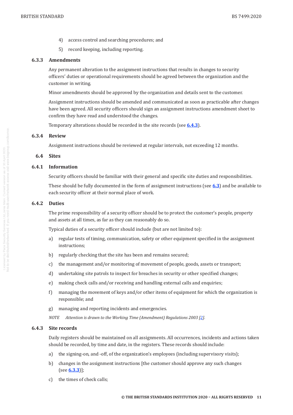- 4) access control and searching procedures; and
- 5) record keeping, including reporting.

#### <span id="page-16-2"></span>**6.3.3 Amendments**

Any permanent alteration to the assignment instructions that results in changes to security officers' duties or operational requirements should be agreed between the organization and the customer in writing.

Minor amendments should be approved by the organization and details sent to the customer.

Assignment instructions should be amended and communicated as soon as practicable after changes have been agreed. All security officers should sign an assignment instructions amendment sheet to confirm they have read and understood the changes.

Temporary alterations should be recorded in the site records (see **[6.4.3](#page-16-1)**).

#### **6.3.4 Review**

Assignment instructions should be reviewed at regular intervals, not exceeding 12 months.

#### <span id="page-16-0"></span>**6.4 Sites**

#### **6.4.1 Information**

Security officers should be familiar with their general and specific site duties and responsibilities.

These should be fully documented in the form of assignment instructions (see **[6.3](#page-15-1)**) and be available to each security officer at their normal place of work.

#### **6.4.2 Duties**

The prime responsibility of a security officer should be to protect the customer's people, property and assets at all times, as far as they can reasonably do so.

Typical duties of a security officer should include (but are not limited to):

- a) regular tests of timing, communication, safety or other equipment specified in the assignment instructions;
- b) regularly checking that the site has been and remains secured;
- c) the management and/or monitoring of movement of people, goods, assets or transport;
- d) undertaking site patrols to inspect for breaches in security or other specified changes;
- e) making check calls and/or receiving and handling external calls and enquiries;
- f) managing the movement of keys and/or other items of equipment for which the organization is responsible; and
- g) managing and reporting incidents and emergencies.

*NOTE Attention is drawn to the Working Time (Amendment) Regulations 2003 [\[2](#page-21-2)].*

#### <span id="page-16-1"></span>**6.4.3 Site records**

Daily registers should be maintained on all assignments. All occurrences, incidents and actions taken should be recorded, by time and date, in the registers. These records should include:

- a) the signing-on, and -off, of the organization's employees (including supervisory visits);
- b) changes in the assignment instructions [the customer should approve any such changes (see **[6.3.3](#page-16-2)**)];
- c) the times of check calls;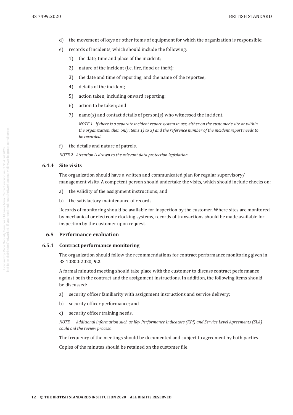- d) the movement of keys or other items of equipment for which the organization is responsible;
- e) records of incidents, which should include the following:
	- 1) the date, time and place of the incident;
	- 2) nature of the incident (i.e. fire, flood or theft);
	- 3) the date and time of reporting, and the name of the reportee;
	- 4) details of the incident;
	- 5) action taken, including onward reporting;
	- 6) action to be taken; and
	- 7) name(s) and contact details of person(s) who witnessed the incident.

*NOTE 1 If there is a separate incident report system in use, either on the customer's site or within the organization, then only items 1) to 3) and the reference number of the incident report needs to be recorded.*

f) the details and nature of patrols.

*NOTE 2 Attention is drawn to the relevant data protection legislation.*

#### **6.4.4 Site visits**

The organization should have a written and communicated plan for regular supervisory/ management visits. A competent person should undertake the visits, which should include checks on:

- a) the validity of the assignment instructions; and
- b) the satisfactory maintenance of records.

Records of monitoring should be available for inspection by the customer. Where sites are monitored by mechanical or electronic clocking systems, records of transactions should be made available for inspection by the customer upon request.

#### <span id="page-17-0"></span>**6.5 Performance evaluation**

#### **6.5.1 Contract performance monitoring**

The organization should follow the recommendations for contract performance monitoring given in BS 10800:2020, **9.2**.

A formal minuted meeting should take place with the customer to discuss contract performance against both the contract and the assignment instructions. In addition, the following items should be discussed:

- a) security officer familiarity with assignment instructions and service delivery;
- b) security officer performance; and
- c) security officer training needs.

*NOTE Additional information such as Key Performance Indicators (KPI) and Service Level Agreements (SLA) could aid the review process.*

The frequency of the meetings should be documented and subject to agreement by both parties.

Copies of the minutes should be retained on the customer file.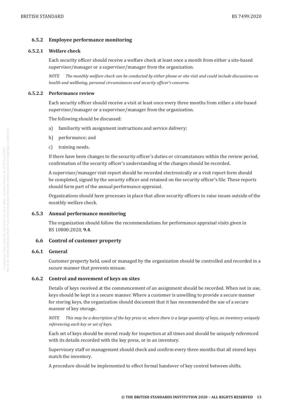## **6.5.2 Employee performance monitoring**

#### **6.5.2.1 Welfare check**

Each security officer should receive a welfare check at least once a month from either a site-based supervisor/manager or a supervisor/manager from the organization.

*The monthly welfare check can be conducted by either phone or site visit and could include discussions on health and wellbeing, personal circumstances and security officer's concerns.*

#### **6.5.2.2 Performance review**

Each security officer should receive a visit at least once every three months from either a site-based supervisor/manager or a supervisor/manager from the organization.

The following should be discussed:

- a) familiarity with assignment instructions and service delivery;
- b) performance; and
- c) training needs.

If there have been changes to the security officer's duties or circumstances within the review period, confirmation of the security officer's understanding of the changes should be recorded.

A supervisor/manager visit report should be recorded electronically or a visit report form should be completed, signed by the security officer and retained on the security officer's file. These reports should form part of the annual performance appraisal.

Organizations should have processes in place that allow security officers to raise issues outside of the monthly welfare check.

#### **6.5.3 Annual performance monitoring**

The organization should follow the recommendations for performance appraisal visits given in BS 10800:2020, **9.4**.

#### <span id="page-18-0"></span>**6.6 Control of customer property**

#### **6.6.1 General**

Customer property held, used or managed by the organization should be controlled and recorded in a secure manner that prevents misuse.

#### **6.6.2 Control and movement of keys on sites**

Details of keys received at the commencement of an assignment should be recorded. When not in use, keys should be kept in a secure manner. Where a customer is unwilling to provide a secure manner for storing keys, the organization should document that it has recommended the use of a secure manner of key storage.

*NOTE This may be a description of the key press or, where there is a large quantity of keys, an inventory uniquely referencing each key or set of keys.*

Each set of keys should be stored ready for inspection at all times and should be uniquely referenced with its details recorded with the key press, or in an inventory.

Supervisory staff or management should check and confirm every three months that all stored keys match the inventory.

A procedure should be implemented to effect formal handover of key control between shifts.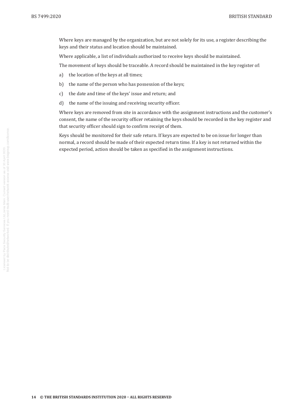Where keys are managed by the organization, but are not solely for its use, a register describing the keys and their status and location should be maintained.

Where applicable, a list of individuals authorized to receive keys should be maintained.

The movement of keys should be traceable. A record should be maintained in the key register of:

- a) the location of the keys at all times;
- b) the name of the person who has possession of the keys;
- c) the date and time of the keys' issue and return; and
- d) the name of the issuing and receiving security officer.

Where keys are removed from site in accordance with the assignment instructions and the customer's consent, the name of the security officer retaining the keys should be recorded in the key register and that security officer should sign to confirm receipt of them.

Keys should be monitored for their safe return. If keys are expected to be on issue for longer than normal, a record should be made of their expected return time. If a key is not returned within the expected period, action should be taken as specified in the assignment instructions.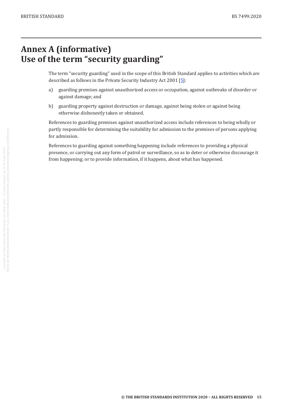## <span id="page-20-0"></span>**Annex A (informative) Use of the term "security guarding"**

The term "security guarding" used in the scope of this British Standard applies to activities which are described as follows in the Private Security Industry Act 2001 [\[5\]](#page-21-5):

- a) guarding premises against unauthorized access or occupation, against outbreaks of disorder or against damage; and
- b) guarding property against destruction or damage, against being stolen or against being otherwise dishonestly taken or obtained.

References to guarding premises against unauthorized access include references to being wholly or partly responsible for determining the suitability for admission to the premises of persons applying for admission.

References to guarding against something happening include references to providing a physical presence, or carrying out any form of patrol or surveillance, so as to deter or otherwise discourage it from happening; or to provide information, if it happens, about what has happened.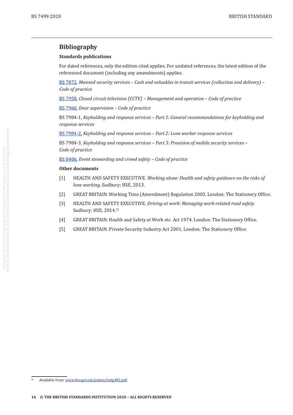## <span id="page-21-0"></span>**Bibliography**

#### **Standards publications**

For dated references, only the edition cited applies. For undated references, the latest edition of the referenced document (including any amendments) applies.

BS [7872,](https://doi.org/10.3403/02081761U) *Manned security services – Cash and valuables in transit services (collection and delivery) – Code of practice*

BS [7958,](https://doi.org/10.3403/01939094U) *Closed circuit television (CCTV) – Management and operation – Code of practice*

BS [7960,](https://doi.org/10.3403/01939082U) *Door supervision – Code of practice*

BS 7984‑1, *Keyholding and response services – Part 1: General recommendations for keyholding and response services*

BS [7984‑2,](https://doi.org/10.3403/30288996U) *Keyholding and response services – Part 2: Lone worker response services*

BS 7984‑3, *Keyholding and response services – Part 3: Provision of mobile security services – Code of practice*

BS [8406,](https://doi.org/10.3403/02912651U) *Event stewarding and crowd safety – Code of practice*

#### **Other documents**

- <span id="page-21-1"></span>[1] HEALTH AND SAFETY EXECUTIVE. *Working alone: Health and safety guidance on the risks of lone working.* Sudbury: HSE, 2013.
- <span id="page-21-2"></span>[2] GREAT BRITAIN. Working Time (Amendment) Regulation 2003. London: The Stationery Office.
- <span id="page-21-3"></span>[3] HEALTH AND SAFETY EXECUTIVE. *Driving at work: Managing work-related road safety.* Sudbury: HSE, 2014.<sup>2)</sup>
- <span id="page-21-4"></span>[4] GREAT BRITAIN. Health and Safety at Work etc. Act 1974. London: The Stationery Office.
- <span id="page-21-5"></span>[5] GREAT BRITAIN. Private Security Industry Act 2001. London: The Stationery Office.

<sup>&</sup>lt;sup>2)</sup> Available from: [www.hse.gov.uk/pubns/indg382.pdf](http://www.hse.gov.uk/pubns/indg382.pdf).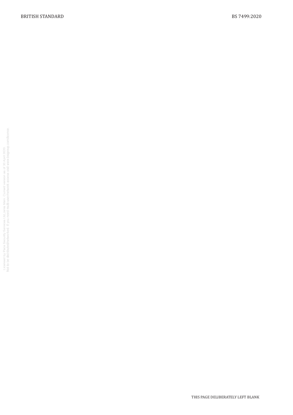Licensed by Pace Security Services Ltd Janis Main. Current version as of 30 April 2020.<br>Not to be distributed/networked. If you need multi-user/network access visit www.bsigroup.com/license.